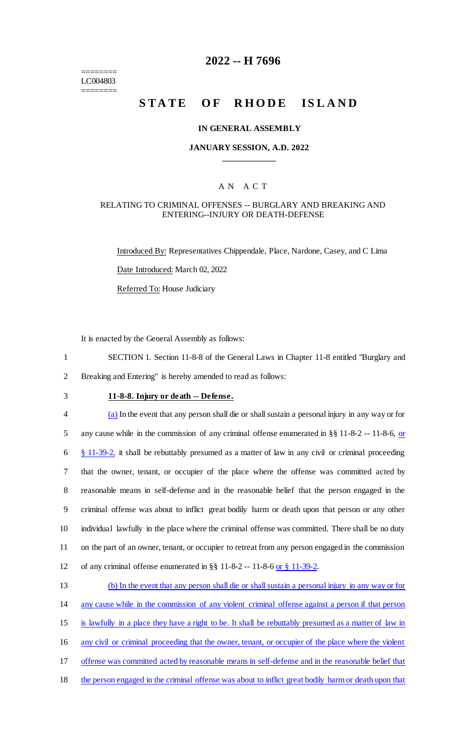======== LC004803 ========

### **2022 -- H 7696**

# **STATE OF RHODE ISLAND**

#### **IN GENERAL ASSEMBLY**

#### **JANUARY SESSION, A.D. 2022 \_\_\_\_\_\_\_\_\_\_\_\_**

#### A N A C T

#### RELATING TO CRIMINAL OFFENSES -- BURGLARY AND BREAKING AND ENTERING--INJURY OR DEATH-DEFENSE

Introduced By: Representatives Chippendale, Place, Nardone, Casey, and C Lima Date Introduced: March 02, 2022 Referred To: House Judiciary

It is enacted by the General Assembly as follows:

1 SECTION 1. Section 11-8-8 of the General Laws in Chapter 11-8 entitled "Burglary and 2 Breaking and Entering" is hereby amended to read as follows:

## 3 **11-8-8. Injury or death -- Defense.**

 (a) In the event that any person shall die or shall sustain a personal injury in any way or for 5 any cause while in the commission of any criminal offense enumerated in §§ 11-8-2 -- 11-8-6, or  $\frac{8}{9}$  11-39-2, it shall be rebuttably presumed as a matter of law in any civil or criminal proceeding that the owner, tenant, or occupier of the place where the offense was committed acted by reasonable means in self-defense and in the reasonable belief that the person engaged in the criminal offense was about to inflict great bodily harm or death upon that person or any other individual lawfully in the place where the criminal offense was committed. There shall be no duty on the part of an owner, tenant, or occupier to retreat from any person engaged in the commission of any criminal offense enumerated in §§ 11-8-2 -- 11-8-6 or § 11-39-2.

 (b) In the event that any person shall die or shall sustain a personal injury in any way or for any cause while in the commission of any violent criminal offense against a person if that person is lawfully in a place they have a right to be. It shall be rebuttably presumed as a matter of law in any civil or criminal proceeding that the owner, tenant, or occupier of the place where the violent offense was committed acted by reasonable means in self-defense and in the reasonable belief that the person engaged in the criminal offense was about to inflict great bodily harm or death upon that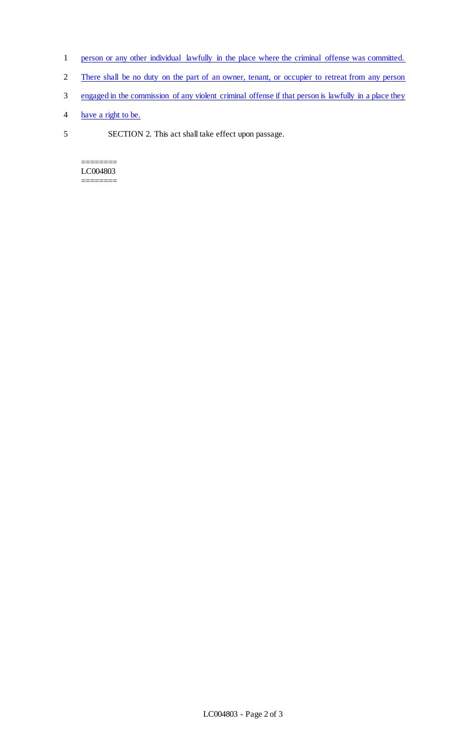- 1 person or any other individual lawfully in the place where the criminal offense was committed.
- 2 There shall be no duty on the part of an owner, tenant, or occupier to retreat from any person
- 3 engaged in the commission of any violent criminal offense if that person is lawfully in a place they
- 4 have a right to be.
- 5 SECTION 2. This act shall take effect upon passage.

======== LC004803 ========